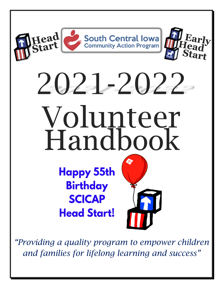

*"Providing a quality program to empower children and families for lifelong learning and success"*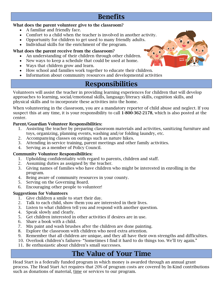## Benefits

### What does the parent volunteer give to the classroom?

- A familiar and friendly face.
- Comfort to a child when the teacher is involved in another activity.
- Opportunity for children to get used to many friendly adults.
- Individual skills for the enrichment of the program.

### What does the parent receive from the classroom?

- An understanding of their children through other children.
- New ways to keep a schedule that could be used at home.
- Ways that children grow and learn.
- How school and families work together to educate their children.
- Information about community resources and developmental activities

## Responsibilities

Volunteers will assist the teacher in providing learning experiences for children that will develop approaches to learning, social/emotional skills, language/literacy skills, cognition skills, and physical skills and to incorporate these activities into the home.

When volunteering in the classroom, you are a mandatory reporter of child abuse and neglect. If you suspect this at any time, it is your responsibility to call 1-800-362-2178, which is also posted at the center.

### Parent/Guardian Volunteer Responsibilities:

- 1. Assisting the teacher by preparing classroom materials and activities, sanitizing furniture and toys, organizing, planning events, washing and/or folding laundry, etc.
- 2. Accompanying classes on outings such as nature hikes.
- 3. Attending in-service training, parent meetings and other family activities.
- 4. Serving as a member of Policy Council.

### Community Volunteer Responsibilities:

- 1. Upholding confidentiality with regard to parents, children and staff.
- 2. Assuming duties as assigned by the teacher.
- 3. Giving names of families who have children who might be interested in enrolling in the program.
- 4. Being aware of community resources in your county.
- 5. Serving on the Governing Board.
- 6. Encouraging other people to volunteer!

### Suggestions for Volunteers

- 1. Give children a smile to start their day.
- 2. Talk to each child, show them you are interested in their lives.
- 3. Listen to what children tell you and respond with another question.
- 4. Speak slowly and clearly.
- 5. Get children interested in other activities if desires are in use.
- 6. Share a book with a child.
- 7. Mix paint and wash brushes after the children are done painting.
- 8. Explore the classroom with children who need extra attention.
- 9. Remember that all children are unique, and they all have their own strengths and difficulties.
- 10. Overlook children's failures- "Sometimes I find it hard to do things too. We'll try again."
- 11. Be enthusiastic about children's small successes.

# The Value of Your Time

Head Start is a federally funded program in which money is awarded through an annual grant process. The Head Start Act requires that 20% of program costs are covered by In-Kind contributions such as donations of material, time or services to our program.

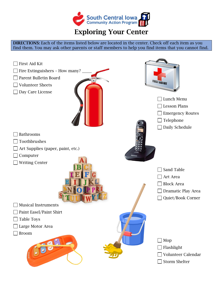

DIRECTIONS: Each of the items listed below are located in the center. Check off each item as you find them. You may ask other parents or staff members to help you find items that you cannot find.

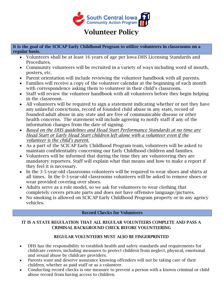

## Volunteer Policy

It is the goal of the SCICAP Early Childhood Program to utilize volunteers in classrooms on a regular basis.

- Volunteers shall be at least 16 years of age per Iowa DHS Licensing Standards and Procedures.
- Community volunteers will be recruited in a variety of ways including word of mouth, posters, etc.
- Parent orientation will include reviewing the volunteer handbook with all parents.
- Families will receive a copy of the volunteer calendar at the beginning of each month with correspondence asking them to volunteer in their child's classroom.
- Staff will review the volunteer handbook with all volunteers before they begin helping in the classroom.
- All volunteers will be required to sign a statement indicating whether or not they have any unlawful convictions, record of founded child abuse in any state, record of founded adult abuse in any state and are free of communicable disease or other health concerns. The statement will include agreeing to notify staff if any of the information changes from the date of signing.
- *Based on the DHS guidelines and Head Start Performance Standards at no time are Head Start or Early Head Start children left alone with a volunteer even if the volunteer is the child's parent.*
- As a part of the SCICAP Early Childhood Program team, volunteers will be asked to maintain confidentiality concerning our Early Childhood children and families.
- Volunteers will be informed that during the time they are volunteering they are mandatory reporters. Staff will explain what that means and how to make a report if they feel it is necessary.
- In the 3-5-year-old classrooms volunteers will be required to wear shoes and shirts at all times. In the 0-3-year-old classrooms volunteers will be asked to remove shoes or wear provided covering over shoes.
- Adults serve as a role model, so we ask for volunteers to wear clothing that completely covers private parts and does not have offensive language/pictures.
- No smoking is allowed on SCICAP Early Childhood Program property or in any agency vehicles.

#### Record Checks for Volunteers

#### IT IS A STATE REGULATION THAT ALL REGULAR VOLUNTEERS COMPLETE AND PASS A CRIMINAL BACKGROUND CHECK BEFORE VOLUNTEERING

#### REGULAR VOLUNTEERS MUST ALSO BE FINGERPRINTED

- DHS has the responsibility to establish health and safety standards and requirements for childcare centers, including measures to protect children from neglect, physical, emotional and sexual abuse by childcare providers.
- Parents want and deserve assurance knowing offenders will not be taking care of their children, whether as paid staff or as a volunteer.
- Conducting record checks is one measure to prevent a person with a known criminal or child abuse record from having access to children.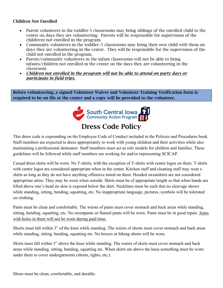#### Children Not Enrolled

- Parent volunteers in the toddler-5 classrooms may bring siblings of the enrolled child to the center on days they are volunteering. Parents will be responsible for supervision of the child(ren) not enrolled in the program.
- Community volunteers in the toddler–5 classrooms may bring their own child with them on days they are volunteering in the center. They will be responsible for the supervision of the child not enrolled in the program.
- Parent/community volunteers in the infant classrooms will not be able to bring infants/children not enrolled in the center on the days they are volunteering in the classroom.
- *Children not enrolled in the program will not be able to attend on party days or participate in field trips.*

Before volunteering, a signed Volunteer Waiver and Volunteer Training Verification form is required to be on file at the center and a copy will be provided to the volunteer.



## Dress Code Policy

This dress code is expounding on the Employee Code of Conduct included in the Policies and Procedures book. Staff members are expected to dress appropriately to work with young children and their activities while also maintaining a professional demeanor. Staff members must act as role models for children and families. These guidelines will be followed while staff members are working for and/or representing SCICAP.

Casual/dress shirts will be worn. No T-shirts, with the exception of T-shirts with center logos on them. T-shirts with center logos are considered appropriate when in the center. Kitchen staff and cleaning staff may wear tshirts as long as they do not have anything offensive noted on them. Hooded sweatshirts are not considered appropriate attire. They may be worn when outside. Shirts must be of appropriate length so that when hands are lifted above one's head no skin is exposed below the shirt. Necklines must be such that no cleavage shows while standing, sitting, bending, squatting, etc. No inappropriate language, pictures, symbols will be tolerated on clothing.

Pants must be clean and comfortable. The waists of pants must cover stomach and back areas while standing, sitting, bending, squatting, etc. No sweatpants or flannel pants will be worn. Pants must be in good repair. Jeans with holes in them will not be worn during paid time.

Shorts must fall within 3" of the knee while standing. The waists of shorts must cover stomach and back areas while standing, sitting, bending, squatting etc. No boxers or biking shorts will be worn.

Skirts must fall within 3" above the knee while standing. The waists of skirts must cover stomach and back areas while standing, sitting, bending, squatting etc. When skirts are above the knee something must be worn under them to cover undergarments (shorts, tights, etc.).

Shoes must be clean, comfortable, and durable.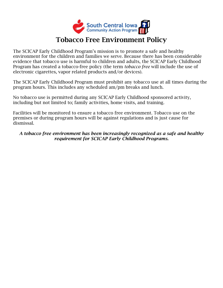

## Tobacco Free Environment Policy

The SCICAP Early Childhood Program's mission is to promote a safe and healthy environment for the children and families we serve. Because there has been considerable evidence that tobacco use is harmful to children and adults, the SCICAP Early Childhood Program has created a tobacco-free policy (the term *tobacco free* will include the use of electronic cigarettes, vapor related products and/or devices).

The SCICAP Early Childhood Program must prohibit any tobacco use at all times during the program hours. This includes any scheduled am/pm breaks and lunch.

No tobacco use is permitted during any SCICAP Early Childhood sponsored activity, including but not limited to; family activities, home visits, and training.

Facilities will be monitored to ensure a tobacco free environment. Tobacco use on the premises or during program hours will be against regulations and is just cause for dismissal.

### *A tobacco free environment has been increasingly recognized as a safe and healthy requirement for SCICAP Early Childhood Programs.*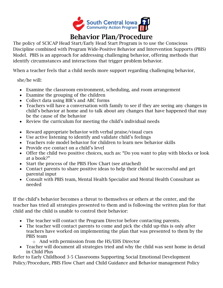

## Behavior Plan/Procedure

The policy of SCICAP Head Start/Early Head Start Program is to use the Conscious Discipline combined with Program Wide-Positive Behavior and Intervention Supports (PBIS) Model. PBIS is an approach for addressing challenging behavior, offering methods that identify circumstances and interactions that trigger problem behavior.

When a teacher feels that a child needs more support regarding challenging behavior,

she/he will:

- Examine the classroom environment, scheduling, and room arrangement
- Examine the grouping of the children
- Collect data using BIR's and ABC forms
- Teachers will have a conversation with family to see if they are seeing any changes in child's behavior at home and to talk about any changes that have happened that may be the cause of the behavior
- Review the curriculum for meeting the child's individual needs
- Reward appropriate behavior with verbal praise/visual cues
- Use active listening to identify and validate child's feelings
- Teachers role model behavior for children to learn new behavior skills
- Provide eye contact on a child's level
- Offer the child two positive choices, such as: "Do you want to play with blocks or look at a book?"
- Start the process of the PBIS Flow Chart (see attached)
- Contact parents to share positive ideas to help their child be successful and get parental input
- Consult with PBIS team, Mental Health Specialist and Mental Health Consultant as needed

If the child's behavior becomes a threat to themselves or others at the center, and the teacher has tried all strategies presented to them and is following the written plan for that child and the child is unable to control their behavior:

- The teacher will contact the Program Director before contacting parents.
- The teacher will contact parents to come and pick the child up-this is only after teachers have worked on implementing the plan that was presented to them by the PBIS team
	- o And with permission from the HS/EHS Director
- Teacher will document all strategies tried and why the child was sent home in detail in Child Plus

Refer to Early Childhood 3-5 Classrooms Supporting Social Emotional Development Policy/Procedure, PBIS Flow Chart and Child Guidance and Behavior management Policy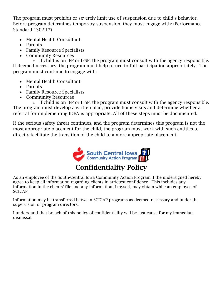The program must prohibit or severely limit use of suspension due to child's behavior. Before program determines temporary suspension, they must engage with: (Performance Standard 1302.17)

- Mental Health Consultant
- Parents
- Family Resource Specialists
- Community Resources

o If child is on IEP or IFSP, the program must consult with the agency responsible. If deemed necessary, the program must help return to full participation appropriately. The program must continue to engage with:

- Mental Health Consultant
- Parents
- Family Resource Specialists
- Community Resources

o If child is on IEP or IFSP, the program must consult with the agency responsible. The program must develop a written plan, provide home visits and determine whether a referral for implementing IDEA is appropriate. All of these steps must be documented.

If the serious safety threat continues, and the program determines this program is not the most appropriate placement for the child, the program must work with such entities to directly facilitate the transition of the child to a more appropriate placement.



As an employee of the South-Central Iowa Community Action Program, I the undersigned hereby agree to keep all information regarding clients in strictest confidence. This includes any information in the clients' file and any information, I myself, may obtain while an employee of SCICAP.

Information may be transferred between SCICAP programs as deemed necessary and under the supervision of program directors.

I understand that breach of this policy of confidentiality will be just cause for my immediate dismissal.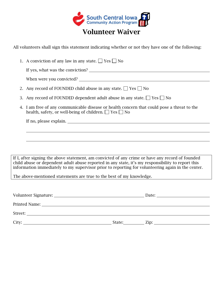

All volunteers shall sign this statement indicating whether or not they have one of the following:

|                                                                                                                                                                                                                                                                                                                                                                                    | 1. A conviction of any law in any state. $\Box$ Yes $\Box$ No                                                                                                 |  |
|------------------------------------------------------------------------------------------------------------------------------------------------------------------------------------------------------------------------------------------------------------------------------------------------------------------------------------------------------------------------------------|---------------------------------------------------------------------------------------------------------------------------------------------------------------|--|
|                                                                                                                                                                                                                                                                                                                                                                                    | If yes, what was the conviction?                                                                                                                              |  |
|                                                                                                                                                                                                                                                                                                                                                                                    |                                                                                                                                                               |  |
|                                                                                                                                                                                                                                                                                                                                                                                    | 2. Any record of FOUNDED child abuse in any state. $\Box$ Yes $\Box$ No                                                                                       |  |
|                                                                                                                                                                                                                                                                                                                                                                                    | 3. Any record of FOUNDED dependent adult abuse in any state. $\Box$ Yes $\Box$ No                                                                             |  |
|                                                                                                                                                                                                                                                                                                                                                                                    | 4. I am free of any communicable disease or health concern that could pose a threat to the<br>health, safety, or well-being of children. $\Box$ Yes $\Box$ No |  |
|                                                                                                                                                                                                                                                                                                                                                                                    |                                                                                                                                                               |  |
|                                                                                                                                                                                                                                                                                                                                                                                    |                                                                                                                                                               |  |
|                                                                                                                                                                                                                                                                                                                                                                                    |                                                                                                                                                               |  |
|                                                                                                                                                                                                                                                                                                                                                                                    |                                                                                                                                                               |  |
| If I, after signing the above statement, am convicted of any crime or have any record of founded<br>child abuse or dependent adult abuse reported in any state, it's my responsibility to report this<br>information immediately to my supervisor prior to reporting for volunteering again in the center.<br>The above-mentioned statements are true to the best of my knowledge. |                                                                                                                                                               |  |
|                                                                                                                                                                                                                                                                                                                                                                                    |                                                                                                                                                               |  |
|                                                                                                                                                                                                                                                                                                                                                                                    |                                                                                                                                                               |  |
|                                                                                                                                                                                                                                                                                                                                                                                    |                                                                                                                                                               |  |
|                                                                                                                                                                                                                                                                                                                                                                                    |                                                                                                                                                               |  |
|                                                                                                                                                                                                                                                                                                                                                                                    |                                                                                                                                                               |  |